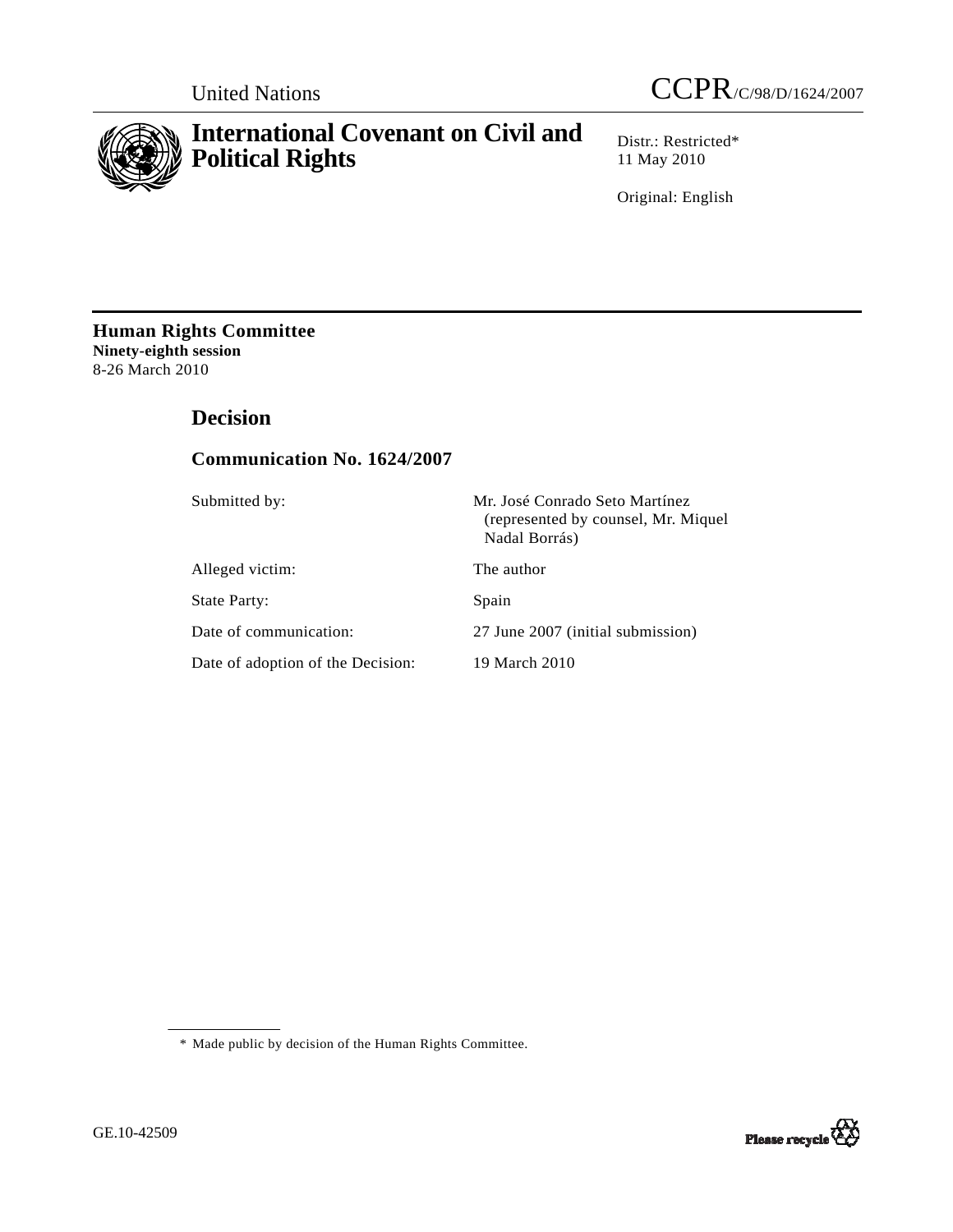



# **International Covenant on Civil and Political Rights**

Distr.: Restricted\* 11 May 2010

Original: English

**Human Rights Committee Ninety-eighth session**  8-26 March 2010

# **Decision**

# **Communication No. 1624/2007**

| Submitted by:                     | Mr. José Conrado Seto Martínez<br>(represented by counsel, Mr. Miquel)<br>Nadal Borrás) |
|-----------------------------------|-----------------------------------------------------------------------------------------|
| Alleged victim:                   | The author                                                                              |
| State Party:                      | Spain                                                                                   |
| Date of communication:            | 27 June 2007 (initial submission)                                                       |
| Date of adoption of the Decision: | 19 March 2010                                                                           |

\* Made public by decision of the Human Rights Committee.

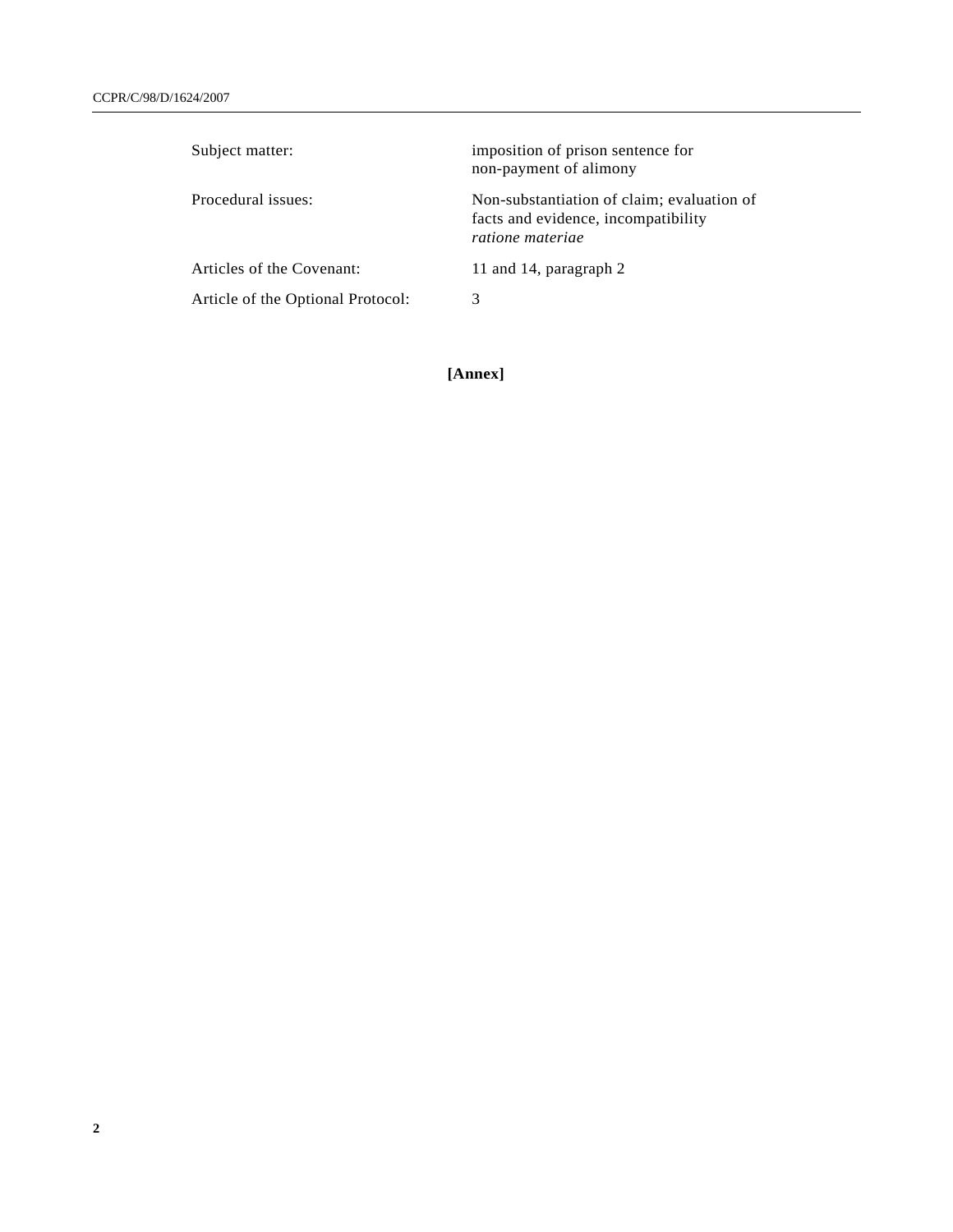| imposition of prison sentence for<br>non-payment of alimony                                           |
|-------------------------------------------------------------------------------------------------------|
| Non-substantiation of claim; evaluation of<br>facts and evidence, incompatibility<br>ratione materiae |
| 11 and 14, paragraph 2                                                                                |
| 3                                                                                                     |
|                                                                                                       |

**[Annex]**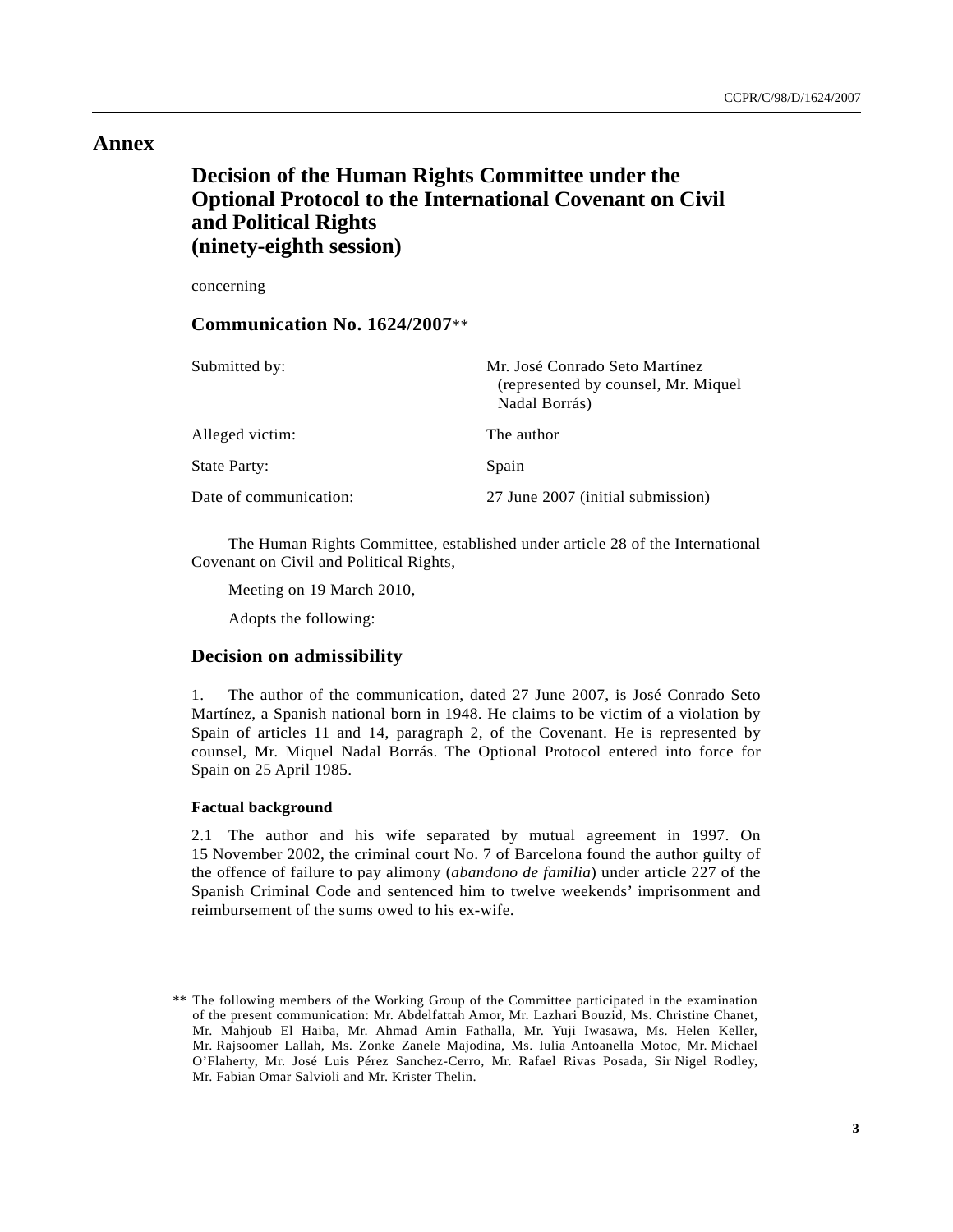## **Annex**

# **Decision of the Human Rights Committee under the Optional Protocol to the International Covenant on Civil and Political Rights (ninety-eighth session)**

concerning

### **Communication No. 1624/2007**\*\*

| Submitted by:          | Mr. José Conrado Seto Martínez<br>(represented by counsel, Mr. Miquel)<br>Nadal Borrás) |
|------------------------|-----------------------------------------------------------------------------------------|
| Alleged victim:        | The author                                                                              |
| <b>State Party:</b>    | Spain                                                                                   |
| Date of communication: | 27 June 2007 (initial submission)                                                       |

 The Human Rights Committee, established under article 28 of the International Covenant on Civil and Political Rights,

Meeting on 19 March 2010,

Adopts the following:

### **Decision on admissibility**

1. The author of the communication, dated 27 June 2007, is José Conrado Seto Martínez, a Spanish national born in 1948. He claims to be victim of a violation by Spain of articles 11 and 14, paragraph 2, of the Covenant. He is represented by counsel, Mr. Miquel Nadal Borrás. The Optional Protocol entered into force for Spain on 25 April 1985.

#### **Factual background**

2.1 The author and his wife separated by mutual agreement in 1997. On 15 November 2002, the criminal court No. 7 of Barcelona found the author guilty of the offence of failure to pay alimony (*abandono de familia*) under article 227 of the Spanish Criminal Code and sentenced him to twelve weekends' imprisonment and reimbursement of the sums owed to his ex-wife.

 <sup>\*\*</sup> The following members of the Working Group of the Committee participated in the examination of the present communication: Mr. Abdelfattah Amor, Mr. Lazhari Bouzid, Ms. Christine Chanet, Mr. Mahjoub El Haiba, Mr. Ahmad Amin Fathalla, Mr. Yuji Iwasawa, Ms. Helen Keller, Mr. Rajsoomer Lallah, Ms. Zonke Zanele Majodina, Ms. Iulia Antoanella Motoc, Mr. Michael O'Flaherty, Mr. José Luis Pérez Sanchez-Cerro, Mr. Rafael Rivas Posada, Sir Nigel Rodley, Mr. Fabian Omar Salvioli and Mr. Krister Thelin.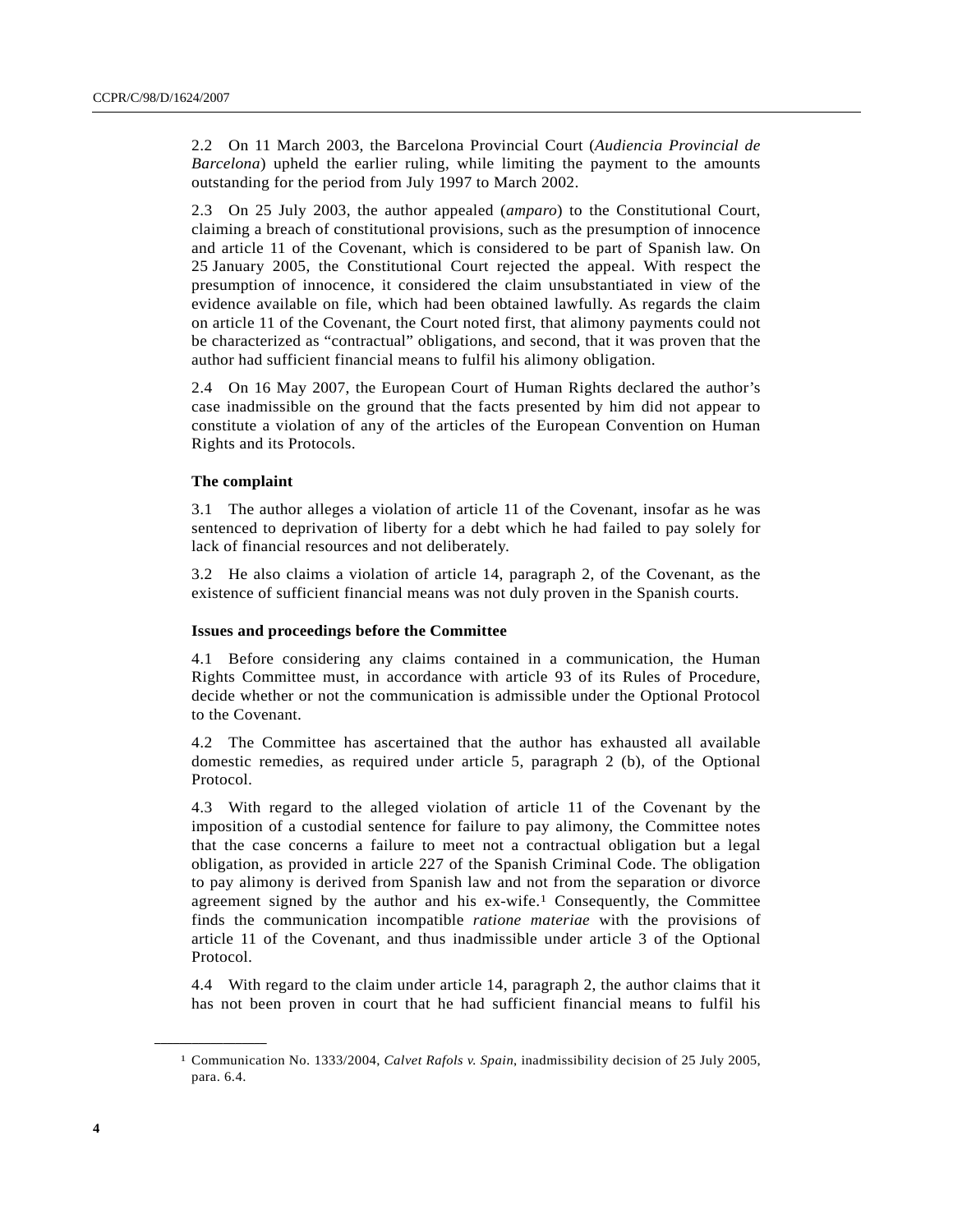2.2 On 11 March 2003, the Barcelona Provincial Court (*Audiencia Provincial de Barcelona*) upheld the earlier ruling, while limiting the payment to the amounts outstanding for the period from July 1997 to March 2002.

2.3 On 25 July 2003, the author appealed (*amparo*) to the Constitutional Court, claiming a breach of constitutional provisions, such as the presumption of innocence and article 11 of the Covenant, which is considered to be part of Spanish law. On 25 January 2005, the Constitutional Court rejected the appeal. With respect the presumption of innocence, it considered the claim unsubstantiated in view of the evidence available on file, which had been obtained lawfully. As regards the claim on article 11 of the Covenant, the Court noted first, that alimony payments could not be characterized as "contractual" obligations, and second, that it was proven that the author had sufficient financial means to fulfil his alimony obligation.

2.4 On 16 May 2007, the European Court of Human Rights declared the author's case inadmissible on the ground that the facts presented by him did not appear to constitute a violation of any of the articles of the European Convention on Human Rights and its Protocols.

#### **The complaint**

3.1 The author alleges a violation of article 11 of the Covenant, insofar as he was sentenced to deprivation of liberty for a debt which he had failed to pay solely for lack of financial resources and not deliberately.

3.2 He also claims a violation of article 14, paragraph 2, of the Covenant, as the existence of sufficient financial means was not duly proven in the Spanish courts.

#### **Issues and proceedings before the Committee**

4.1 Before considering any claims contained in a communication, the Human Rights Committee must, in accordance with article 93 of its Rules of Procedure, decide whether or not the communication is admissible under the Optional Protocol to the Covenant.

4.2 The Committee has ascertained that the author has exhausted all available domestic remedies, as required under article 5, paragraph 2 (b), of the Optional Protocol.

4.3 With regard to the alleged violation of article 11 of the Covenant by the imposition of a custodial sentence for failure to pay alimony, the Committee notes that the case concerns a failure to meet not a contractual obligation but a legal obligation, as provided in article 227 of the Spanish Criminal Code. The obligation to pay alimony is derived from Spanish law and not from the separation or divorce agreement signed by the author and his ex-wife.1 Consequently, the Committee finds the communication incompatible *ratione materiae* with the provisions of article 11 of the Covenant, and thus inadmissible under article 3 of the Optional Protocol.

4.4 With regard to the claim under article 14, paragraph 2, the author claims that it has not been proven in court that he had sufficient financial means to fulfil his

**\_\_\_\_\_\_\_\_\_\_\_\_\_\_\_\_\_\_** 

<sup>1</sup> Communication No. 1333/2004, *Calvet Rafols v. Spain*, inadmissibility decision of 25 July 2005, para. 6.4.